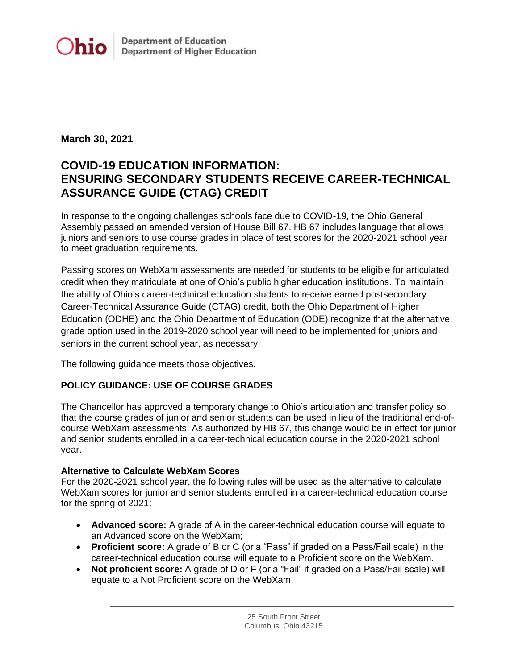

## **March 30, 2021**

# **COVID-19 EDUCATION INFORMATION: ENSURING SECONDARY STUDENTS RECEIVE CAREER-TECHNICAL ASSURANCE GUIDE (CTAG) CREDIT**

In response to the ongoing challenges schools face due to COVID-19, the Ohio General Assembly passed an amended version of House Bill 67. HB 67 includes language that allows juniors and seniors to use course grades in place of test scores for the 2020-2021 school year to meet graduation requirements.

Passing scores on WebXam assessments are needed for students to be eligible for articulated credit when they matriculate at one of Ohio's public higher education institutions. To maintain the ability of Ohio's career-technical education students to receive earned postsecondary Career-Technical Assurance Guide (CTAG) credit, both the Ohio Department of Higher Education (ODHE) and the Ohio Department of Education (ODE) recognize that the alternative grade option used in the 2019-2020 school year will need to be implemented for juniors and seniors in the current school year, as necessary.

The following guidance meets those objectives.

# **POLICY GUIDANCE: USE OF COURSE GRADES**

The Chancellor has approved a temporary change to Ohio's articulation and transfer policy so that the course grades of junior and senior students can be used in lieu of the traditional end-ofcourse WebXam assessments. As authorized by HB 67, this change would be in effect for junior and senior students enrolled in a career-technical education course in the 2020-2021 school year.

## **Alternative to Calculate WebXam Scores**

For the 2020-2021 school year, the following rules will be used as the alternative to calculate WebXam scores for junior and senior students enrolled in a career-technical education course for the spring of 2021:

- **Advanced score:** A grade of A in the career-technical education course will equate to an Advanced score on the WebXam;
- **Proficient score:** A grade of B or C (or a "Pass" if graded on a Pass/Fail scale) in the career-technical education course will equate to a Proficient score on the WebXam.
- **Not proficient score:** A grade of D or F (or a "Fail" if graded on a Pass/Fail scale) will equate to a Not Proficient score on the WebXam.